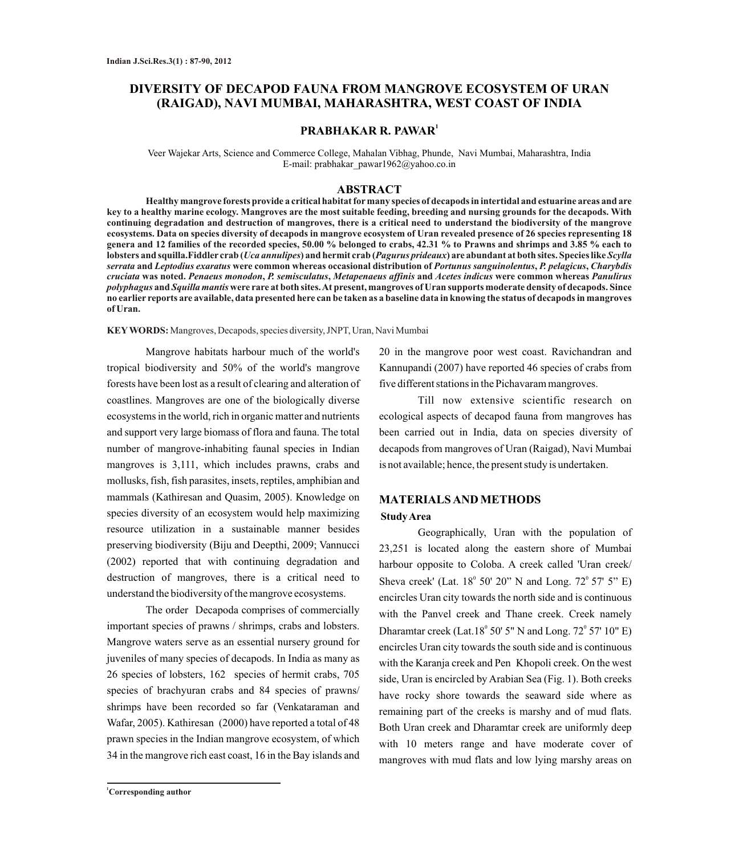# **DIVERSITY OF DECAPOD FAUNA FROM MANGROVE ECOSYSTEM OF URAN (RAIGAD), NAVI MUMBAI, MAHARASHTRA, WEST COAST OF INDIA**

## **1 PRABHAKAR R. PAWAR**

Veer Wajekar Arts, Science and Commerce College, Mahalan Vibhag, Phunde, Navi Mumbai, Maharashtra, India E-mail: prabhakar\_pawar1962@yahoo.co.in

### **ABSTRACT**

**Healthy mangrove forests provide a critical habitat formany species of decapods in intertidal and estuarine areas and are key to a healthy marine ecology. Mangroves are the most suitable feeding, breeding and nursing grounds for the decapods. With continuing degradation and destruction of mangroves, there is a critical need to understand the biodiversity of the mangrove ecosystems. Data on species diversity of decapods in mangrove ecosystem of Uran revealed presence of 26 species representing 18 genera and 12 families of the recorded species, 50.00 % belonged to crabs, 42.31 % to Prawns and shrimps and 3.85 % each to lobsters and squilla.Fiddler crab (***Uca annulipes***) and hermit crab (***Pagurus prideaux***) are abundant at both sites. Species like** *Scylla serrata* **and** *Leptodius exaratus* **were common whereas occasional distribution of** *Portunus sanguinolentus***,** *P. pelagicus***,** *Charybdis cruciata* **was noted.** *Penaeus monodon***,** *P. semisculatus***,** *Metapenaeus affinis* **and** *Acetes indicus* **were common whereas** *Panulirus polyphagus* **and** *Squilla mantis* **were rare at both sites. At present, mangroves of Uran supports moderate density of decapods. Since no earlier reports are available, data presented here can be taken as a baseline data in knowing the status of decapods in mangroves of Uran.** 

**KEY WORDS:** Mangroves, Decapods, species diversity, JNPT, Uran, Navi Mumbai

Mangrove habitats harbour much of the world's tropical biodiversity and 50% of the world's mangrove forests have been lost as a result of clearing and alteration of coastlines. Mangroves are one of the biologically diverse ecosystems in the world, rich in organic matter and nutrients and support very large biomass of flora and fauna. The total number of mangrove-inhabiting faunal species in Indian mangroves is 3,111, which includes prawns, crabs and mollusks, fish, fish parasites, insets, reptiles, amphibian and mammals (Kathiresan and Quasim, 2005). Knowledge on species diversity of an ecosystem would help maximizing resource utilization in a sustainable manner besides preserving biodiversity (Biju and Deepthi, 2009; Vannucci (2002) reported that with continuing degradation and destruction of mangroves, there is a critical need to understand the biodiversity of the mangrove ecosystems.

The order Decapoda comprises of commercially important species of prawns / shrimps, crabs and lobsters. Mangrove waters serve as an essential nursery ground for juveniles of many species of decapods. In India as many as 26 species of lobsters, 162 species of hermit crabs, 705 species of brachyuran crabs and 84 species of prawns/ shrimps have been recorded so far (Venkataraman and Wafar, 2005). Kathiresan (2000) have reported a total of 48 prawn species in the Indian mangrove ecosystem, of which 34 in the mangrove rich east coast, 16 in the Bay islands and

20 in the mangrove poor west coast. Ravichandran and Kannupandi (2007) have reported 46 species of crabs from five different stations in the Pichavaram mangroves.

Till now extensive scientific research on ecological aspects of decapod fauna from mangroves has been carried out in India, data on species diversity of decapods from mangroves of Uran (Raigad), Navi Mumbai is not available; hence, the present study is undertaken.

## **MATERIALS AND METHODS Study Area**

Geographically, Uran with the population of 23,251 is located along the eastern shore of Mumbai harbour opposite to Coloba. A creek called 'Uran creek/ Sheva creek' (Lat.  $18^{\circ}$  50' 20" N and Long.  $72^{\circ}$  57' 5" E) encircles Uran city towards the north side and is continuous with the Panvel creek and Thane creek. Creek namely Dharamtar creek (Lat.18 $^{\circ}$  50' 5" N and Long. 72 $^{\circ}$  57' 10" E) encircles Uran city towards the south side and is continuous with the Karanja creek and Pen Khopoli creek. On the west side, Uran is encircled by Arabian Sea (Fig. 1). Both creeks have rocky shore towards the seaward side where as remaining part of the creeks is marshy and of mud flats. Both Uran creek and Dharamtar creek are uniformly deep with 10 meters range and have moderate cover of mangroves with mud flats and low lying marshy areas on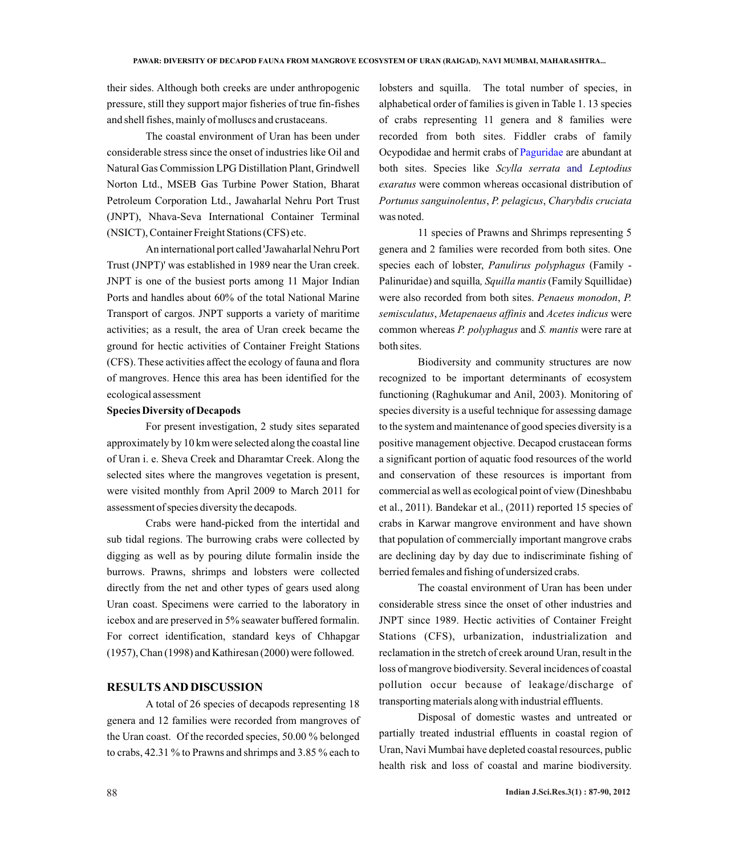their sides. Although both creeks are under anthropogenic pressure, still they support major fisheries of true fin-fishes and shell fishes, mainly of molluscs and crustaceans.

The coastal environment of Uran has been under considerable stress since the onset of industries like Oil and Natural Gas Commission LPG Distillation Plant, Grindwell Norton Ltd., MSEB Gas Turbine Power Station, Bharat Petroleum Corporation Ltd., Jawaharlal Nehru Port Trust (JNPT), Nhava-Seva International Container Terminal (NSICT), Container Freight Stations (CFS) etc.

An international port called 'Jawaharlal Nehru Port Trust (JNPT)' was established in 1989 near the Uran creek. JNPT is one of the busiest ports among 11 Major Indian Ports and handles about 60% of the total National Marine Transport of cargos. JNPT supports a variety of maritime activities; as a result, the area of Uran creek became the ground for hectic activities of Container Freight Stations (CFS). These activities affect the ecology of fauna and flora of mangroves. Hence this area has been identified for the ecological assessment

#### **Species Diversity of Decapods**

For present investigation, 2 study sites separated approximately by 10 km were selected along the coastal line of Uran i. e. Sheva Creek and Dharamtar Creek. Along the selected sites where the mangroves vegetation is present, were visited monthly from April 2009 to March 2011 for assessment of species diversity the decapods.

Crabs were hand-picked from the intertidal and sub tidal regions. The burrowing crabs were collected by digging as well as by pouring dilute formalin inside the burrows. Prawns, shrimps and lobsters were collected directly from the net and other types of gears used along Uran coast. Specimens were carried to the laboratory in icebox and are preserved in 5% seawater buffered formalin. For correct identification, standard keys of Chhapgar (1957), Chan (1998) and Kathiresan (2000) were followed.

### **RESULTS AND DISCUSSION**

A total of 26 species of decapods representing 18 genera and 12 families were recorded from mangroves of the Uran coast. Of the recorded species, 50.00 % belonged to crabs, 42.31 % to Prawns and shrimps and 3.85 % each to lobsters and squilla. The total number of species, in alphabetical order of families is given in Table 1. 13 species of crabs representing 11 genera and 8 families were recorded from both sites. Fiddler crabs of family Ocypodidae and hermit crabs of Paguridae are abundant at both sites. Species like Scylla serrata and Leptodius *exaratus* were common whereas occasional distribution of *Portunus sanguinolentus*, *P. pelagicus*, *Charybdis cruciata* was noted.

11 species of Prawns and Shrimps representing 5 genera and 2 families were recorded from both sites. One species each of lobster, *Panulirus polyphagus* (Family - Palinuridae) and squilla*, Squilla mantis* (Family Squillidae) were also recorded from both sites. *Penaeus monodon*, *P. semisculatus*, *Metapenaeus affinis* and *Acetes indicus* were common whereas *P. polyphagus* and *S. mantis* were rare at both sites.

Biodiversity and community structures are now recognized to be important determinants of ecosystem functioning (Raghukumar and Anil, 2003). Monitoring of species diversity is a useful technique for assessing damage to the system and maintenance of good species diversity is a positive management objective. Decapod crustacean forms a significant portion of aquatic food resources of the world and conservation of these resources is important from commercial as well as ecological point of view (Dineshbabu et al., 2011). Bandekar et al., (2011) reported 15 species of crabs in Karwar mangrove environment and have shown that population of commercially important mangrove crabs are declining day by day due to indiscriminate fishing of berried females and fishing of undersized crabs.

The coastal environment of Uran has been under considerable stress since the onset of other industries and JNPT since 1989. Hectic activities of Container Freight Stations (CFS), urbanization, industrialization and reclamation in the stretch of creek around Uran, result in the loss of mangrove biodiversity. Several incidences of coastal pollution occur because of leakage/discharge of transporting materials along with industrial effluents.

Disposal of domestic wastes and untreated or partially treated industrial effluents in coastal region of Uran, Navi Mumbai have depleted coastal resources, public health risk and loss of coastal and marine biodiversity.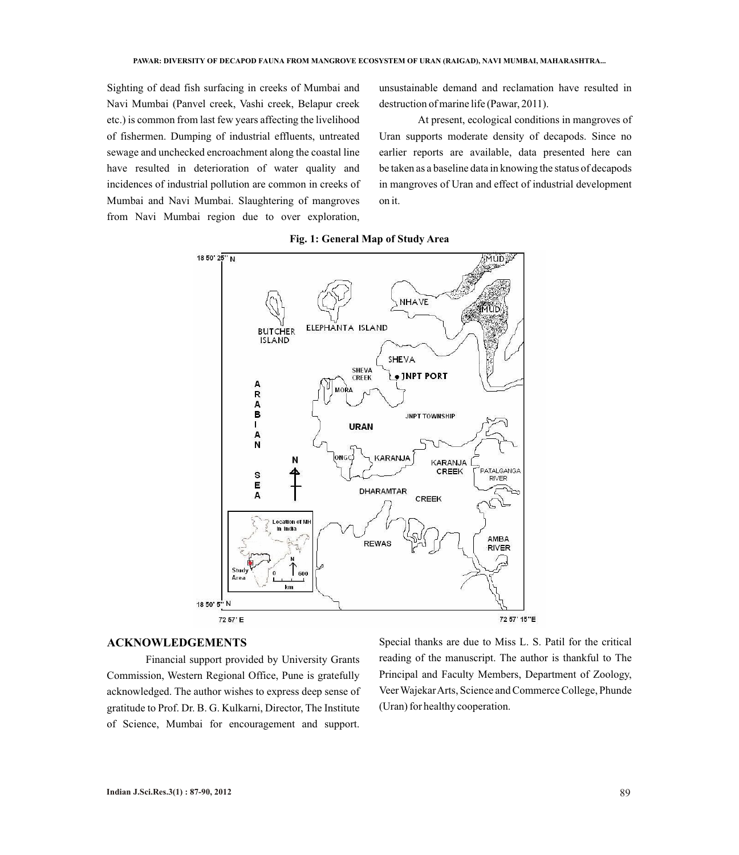Sighting of dead fish surfacing in creeks of Mumbai and Navi Mumbai (Panvel creek, Vashi creek, Belapur creek etc.) is common from last few years affecting the livelihood of fishermen. Dumping of industrial effluents, untreated sewage and unchecked encroachment along the coastal line have resulted in deterioration of water quality and incidences of industrial pollution are common in creeks of Mumbai and Navi Mumbai. Slaughtering of mangroves from Navi Mumbai region due to over exploration,

unsustainable demand and reclamation have resulted in destruction of marine life (Pawar, 2011).

At present, ecological conditions in mangroves of Uran supports moderate density of decapods. Since no earlier reports are available, data presented here can be taken as a baseline data in knowing the status of decapods in mangroves of Uran and effect of industrial development on it.



**Fig. 1: General Map of Study Area**

## **ACKNOWLEDGEMENTS**

Financial support provided by University Grants Commission, Western Regional Office, Pune is gratefully acknowledged. The author wishes to express deep sense of gratitude to Prof. Dr. B. G. Kulkarni, Director, The Institute of Science, Mumbai for encouragement and support.

Special thanks are due to Miss L. S. Patil for the critical reading of the manuscript. The author is thankful to The Principal and Faculty Members, Department of Zoology, Veer Wajekar Arts, Science and Commerce College, Phunde (Uran) for healthy cooperation.